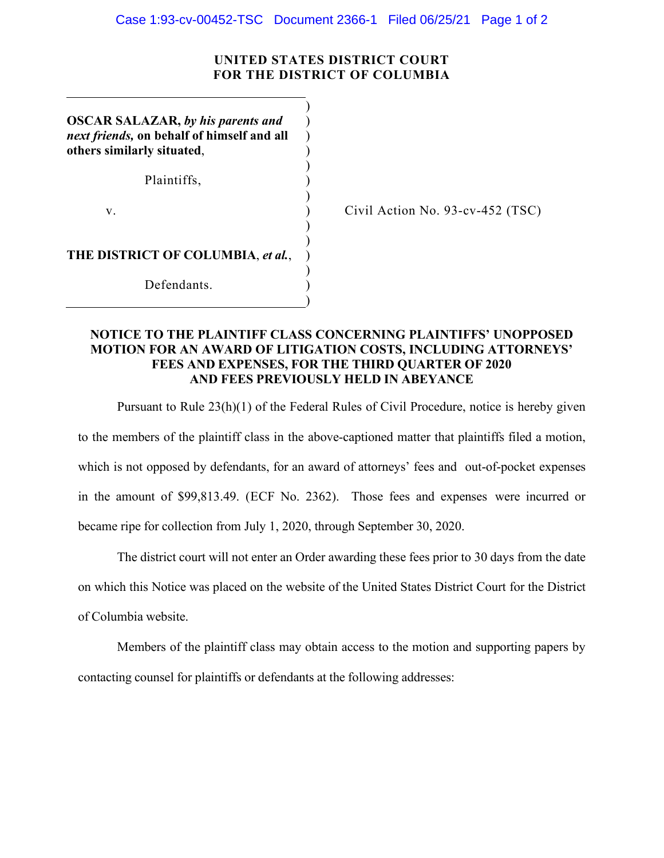## **UNITED STATES DISTRICT COURT FOR THE DISTRICT OF COLUMBIA**

)

) ) ) )

)

)

)

)

)

**OSCAR SALAZAR,** *by his parents and next friends,* **on behalf of himself and all others similarly situated**,

Plaintiffs. (a)

 $\mathbf v.$  )

Civil Action No. 93-cv-452 (TSC)

**THE DISTRICT OF COLUMBIA**, *et al.*, )

Defendants.

## **NOTICE TO THE PLAINTIFF CLASS CONCERNING PLAINTIFFS' UNOPPOSED MOTION FOR AN AWARD OF LITIGATION COSTS, INCLUDING ATTORNEYS' FEES AND EXPENSES, FOR THE THIRD QUARTER OF 2020 AND FEES PREVIOUSLY HELD IN ABEYANCE**

Pursuant to Rule 23(h)(1) of the Federal Rules of Civil Procedure, notice is hereby given to the members of the plaintiff class in the above-captioned matter that plaintiffs filed a motion, which is not opposed by defendants, for an award of attorneys' fees and out-of-pocket expenses in the amount of \$99,813.49. (ECF No. 2362). Those fees and expenses were incurred or became ripe for collection from July 1, 2020, through September 30, 2020.

The district court will not enter an Order awarding these fees prior to 30 days from the date on which this Notice was placed on the website of the United States District Court for the District of Columbia website.

Members of the plaintiff class may obtain access to the motion and supporting papers by contacting counsel for plaintiffs or defendants at the following addresses: